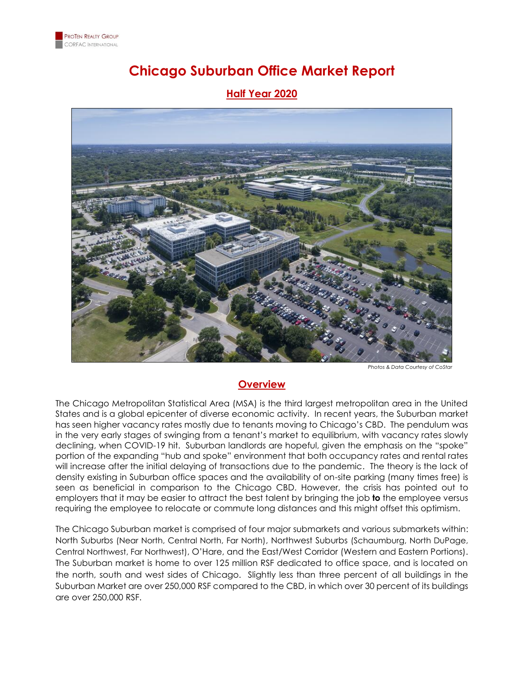

# **Chicago Suburban Office Market Report**

#### **Half Year 2020**



*Photos & Data Courtesy of CoStar*

#### **Overview**

The Chicago Metropolitan Statistical Area (MSA) is the third largest metropolitan area in the United States and is a global epicenter of diverse economic activity. In recent years, the Suburban market has seen higher vacancy rates mostly due to tenants moving to Chicago's CBD. The pendulum was in the very early stages of swinging from a tenant's market to equilibrium, with vacancy rates slowly declining, when COVID-19 hit. Suburban landlords are hopeful, given the emphasis on the "spoke" portion of the expanding "hub and spoke" environment that both occupancy rates and rental rates will increase after the initial delaying of transactions due to the pandemic. The theory is the lack of density existing in Suburban office spaces and the availability of on-site parking (many times free) is seen as beneficial in comparison to the Chicago CBD. However, the crisis has pointed out to employers that it may be easier to attract the best talent by bringing the job **to** the employee versus requiring the employee to relocate or commute long distances and this might offset this optimism.

The Chicago Suburban market is comprised of four major submarkets and various submarkets within: North Suburbs (Near North, Central North, Far North), Northwest Suburbs (Schaumburg, North DuPage, Central Northwest, Far Northwest), O'Hare, and the East/West Corridor (Western and Eastern Portions). The Suburban market is home to over 125 million RSF dedicated to office space, and is located on the north, south and west sides of Chicago. Slightly less than three percent of all buildings in the Suburban Market are over 250,000 RSF compared to the CBD, in which over 30 percent of its buildings are over 250,000 RSF.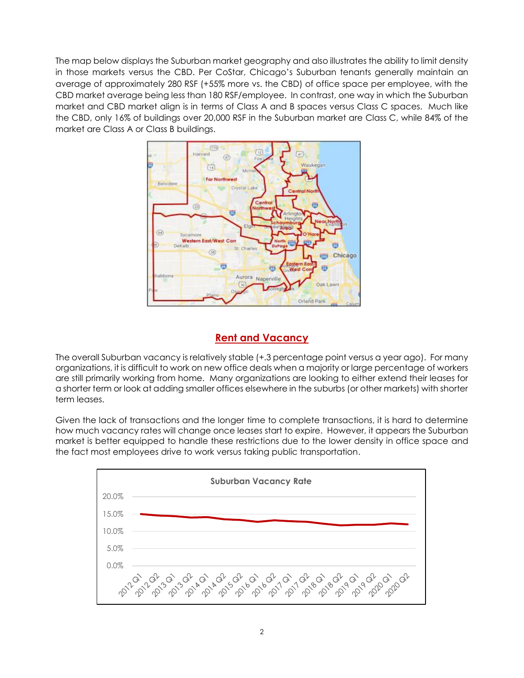The map below displays the Suburban market geography and also illustrates the ability to limit density in those markets versus the CBD. Per CoStar, Chicago's Suburban tenants generally maintain an average of approximately 280 RSF (+55% more vs. the CBD) of office space per employee, with the CBD market average being less than 180 RSF/employee. In contrast, one way in which the Suburban market and CBD market align is in terms of Class A and B spaces versus Class C spaces. Much like the CBD, only 16% of buildings over 20,000 RSF in the Suburban market are Class C, while 84% of the market are Class A or Class B buildings.



## **Rent and Vacancy**

The overall Suburban vacancy is relatively stable (+.3 percentage point versus a year ago). For many organizations, it is difficult to work on new office deals when a majority or large percentage of workers are still primarily working from home. Many organizations are looking to either extend their leases for a shorter term or look at adding smaller offices elsewhere in the suburbs (or other markets) with shorter term leases.

Given the lack of transactions and the longer time to complete transactions, it is hard to determine how much vacancy rates will change once leases start to expire. However, it appears the Suburban market is better equipped to handle these restrictions due to the lower density in office space and the fact most employees drive to work versus taking public transportation.

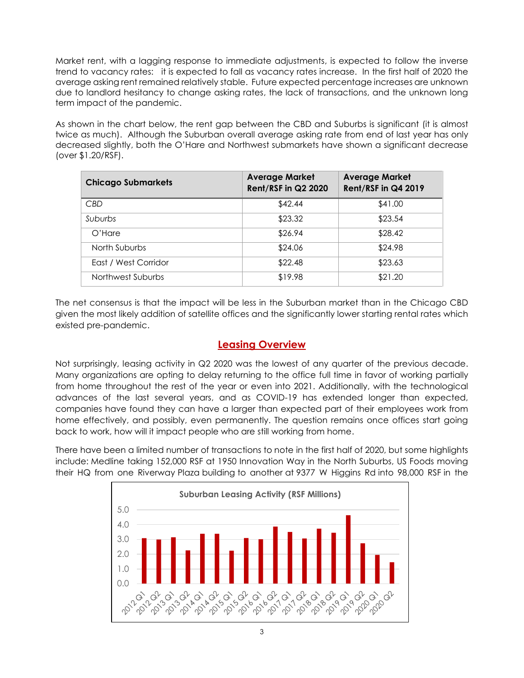Market rent, with a lagging response to immediate adjustments, is expected to follow the inverse trend to vacancy rates: it is expected to fall as vacancy rates increase. In the first half of 2020 the average asking rent remained relatively stable. Future expected percentage increases are unknown due to landlord hesitancy to change asking rates, the lack of transactions, and the unknown long term impact of the pandemic.

As shown in the chart below, the rent gap between the CBD and Suburbs is significant (it is almost twice as much). Although the Suburban overall average asking rate from end of last year has only decreased slightly, both the O'Hare and Northwest submarkets have shown a significant decrease (over \$1.20/RSF).

| <b>Chicago Submarkets</b> | <b>Average Market</b><br><b>Rent/RSF in Q2 2020</b> | <b>Average Market</b><br>Rent/RSF in Q4 2019 |
|---------------------------|-----------------------------------------------------|----------------------------------------------|
| <b>CBD</b>                | \$42.44                                             | \$41.00                                      |
| Suburbs                   | \$23.32                                             | \$23.54                                      |
| $O'$ Hare                 | \$26.94                                             | \$28.42                                      |
| North Suburbs             | \$24.06                                             | \$24.98                                      |
| East / West Corridor      | \$22.48                                             | \$23.63                                      |
| Northwest Suburbs         | \$19.98                                             | \$21.20                                      |

The net consensus is that the impact will be less in the Suburban market than in the Chicago CBD given the most likely addition of satellite offices and the significantly lower starting rental rates which existed pre-pandemic.

### **Leasing Overview**

Not surprisingly, leasing activity in Q2 2020 was the lowest of any quarter of the previous decade. Many organizations are opting to delay returning to the office full time in favor of working partially from home throughout the rest of the year or even into 2021. Additionally, with the technological advances of the last several years, and as COVID-19 has extended longer than expected, companies have found they can have a larger than expected part of their employees work from home effectively, and possibly, even permanently. The question remains once offices start going back to work, how will it impact people who are still working from home.

There have been a limited number of transactions to note in the first half of 2020, but some highlights include: Medline taking 152,000 RSF at 1950 Innovation Way in the North Suburbs, US Foods moving their HQ from one Riverway Plaza building to another at 9377 W Higgins Rd into 98,000 RSF in the

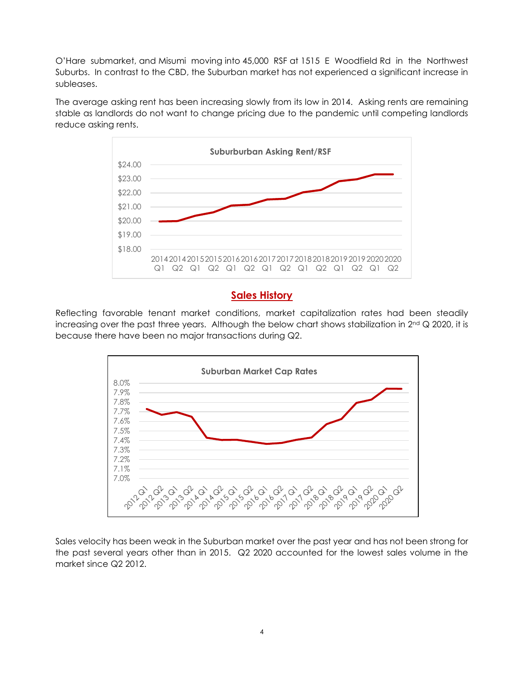O'Hare submarket, and Misumi moving into 45,000 RSF at 1515 E Woodfield Rd in the Northwest Suburbs. In contrast to the CBD, the Suburban market has not experienced a significant increase in subleases.

The average asking rent has been increasing slowly from its low in 2014. Asking rents are remaining stable as landlords do not want to change pricing due to the pandemic until competing landlords reduce asking rents.



### **Sales History**

Reflecting favorable tenant market conditions, market capitalization rates had been steadily increasing over the past three years. Although the below chart shows stabilization in 2<sup>nd</sup> Q 2020, it is because there have been no major transactions during Q2.



Sales velocity has been weak in the Suburban market over the past year and has not been strong for the past several years other than in 2015. Q2 2020 accounted for the lowest sales volume in the market since Q2 2012.